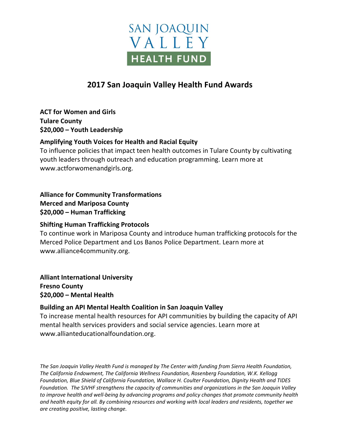

# **2017 San Joaquin Valley Health Fund Awards**

**ACT for Women and Girls Tulare County \$20,000 – Youth Leadership**

### **Amplifying Youth Voices for Health and Racial Equity**

To influence policies that impact teen health outcomes in Tulare County by cultivating youth leaders through outreach and education programming. Learn more at www.actforwomenandgirls.org.

**Alliance for Community Transformations Merced and Mariposa County \$20,000 – Human Trafficking** 

### **Shifting Human Trafficking Protocols**

To continue work in Mariposa County and introduce human trafficking protocols for the Merced Police Department and Los Banos Police Department. Learn more at www.alliance4community.org.

**Alliant International University Fresno County \$20,000 – Mental Health** 

### **Building an API Mental Health Coalition in San Joaquin Valley**

To increase mental health resources for API communities by building the capacity of API mental health services providers and social service agencies. Learn more at www.allianteducationalfoundation.org.

*The San Joaquin Valley Health Fund is managed by The Center with funding from Sierra Health Foundation, The California Endowment, The California Wellness Foundation, Rosenberg Foundation, W.K. Kellogg Foundation, Blue Shield of California Foundation, Wallace H. Coulter Foundation, Dignity Health and TIDES Foundation. The SJVHF strengthens the capacity of communities and organizations in the San Joaquin Valley to improve health and well-being by advancing programs and policy changes that promote community health and health equity for all. By combining resources and working with local leaders and residents, together we are creating positive, lasting change.*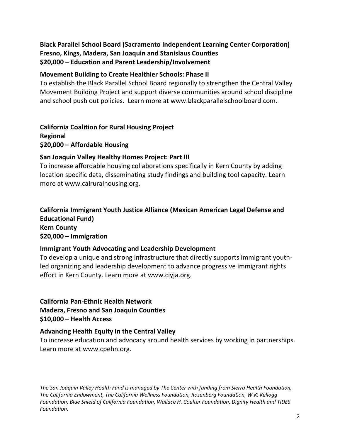# **Black Parallel School Board (Sacramento Independent Learning Center Corporation) Fresno, Kings, Madera, San Joaquin and Stanislaus Counties \$20,000 – Education and Parent Leadership/Involvement**

#### **Movement Building to Create Healthier Schools: Phase II**

To establish the Black Parallel School Board regionally to strengthen the Central Valley Movement Building Project and support diverse communities around school discipline and school push out policies. Learn more at www.blackparallelschoolboard.com.

**California Coalition for Rural Housing Project Regional \$20,000 – Affordable Housing**

### **San Joaquin Valley Healthy Homes Project: Part III**

To increase affordable housing collaborations specifically in Kern County by adding location specific data, disseminating study findings and building tool capacity. Learn more at www.calruralhousing.org.

## **California Immigrant Youth Justice Alliance (Mexican American Legal Defense and Educational Fund) Kern County \$20,000 – Immigration**

### **Immigrant Youth Advocating and Leadership Development**

To develop a unique and strong infrastructure that directly supports immigrant youthled organizing and leadership development to advance progressive immigrant rights effort in Kern County. Learn more at www.ciyja.org.

**California Pan-Ethnic Health Network Madera, Fresno and San Joaquin Counties \$10,000 – Health Access**

### **Advancing Health Equity in the Central Valley**

To increase education and advocacy around health services by working in partnerships. Learn more at www.cpehn.org.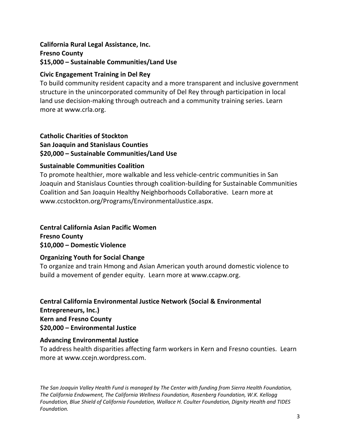# **California Rural Legal Assistance, Inc. Fresno County \$15,000 – Sustainable Communities/Land Use**

# **Civic Engagement Training in Del Rey**

To build community resident capacity and a more transparent and inclusive government structure in the unincorporated community of Del Rey through participation in local land use decision-making through outreach and a community training series. Learn more at www.crla.org.

#### **Catholic Charities of Stockton San Joaquin and Stanislaus Counties \$20,000 – Sustainable Communities/Land Use**

### **Sustainable Communities Coalition**

To promote healthier, more walkable and less vehicle-centric communities in San Joaquin and Stanislaus Counties through coalition-building for Sustainable Communities Coalition and San Joaquin Healthy Neighborhoods Collaborative. Learn more at www.ccstockton.org/Programs/EnvironmentalJustice.aspx.

# **Central California Asian Pacific Women**

**Fresno County \$10,000 – Domestic Violence**

### **Organizing Youth for Social Change**

To organize and train Hmong and Asian American youth around domestic violence to build a movement of gender equity. Learn more at www.ccapw.org.

**Central California Environmental Justice Network (Social & Environmental Entrepreneurs, Inc.) Kern and Fresno County \$20,000 – Environmental Justice**

# **Advancing Environmental Justice**

To address health disparities affecting farm workers in Kern and Fresno counties. Learn more at www.ccejn.wordpress.com.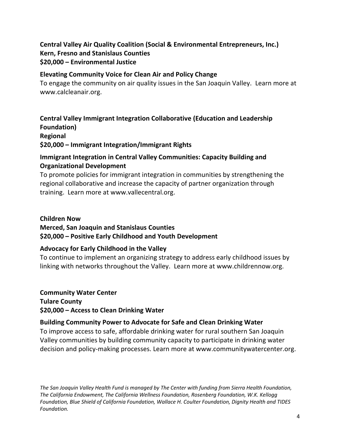## **Central Valley Air Quality Coalition (Social & Environmental Entrepreneurs, Inc.) Kern, Fresno and Stanislaus Counties \$20,000 – Environmental Justice**

#### **Elevating Community Voice for Clean Air and Policy Change**

To engage the community on air quality issues in the San Joaquin Valley. Learn more at www.calcleanair.org.

**Central Valley Immigrant Integration Collaborative (Education and Leadership Foundation) Regional**

**\$20,000 – Immigrant Integration/Immigrant Rights**

# **Immigrant Integration in Central Valley Communities: Capacity Building and Organizational Development**

To promote policies for immigrant integration in communities by strengthening the regional collaborative and increase the capacity of partner organization through training. Learn more at www.vallecentral.org.

#### **Children Now**

**Merced, San Joaquin and Stanislaus Counties**

**\$20,000 – Positive Early Childhood and Youth Development**

### **Advocacy for Early Childhood in the Valley**

To continue to implement an organizing strategy to address early childhood issues by linking with networks throughout the Valley. Learn more at www.childrennow.org.

**Community Water Center**

**Tulare County \$20,000 – Access to Clean Drinking Water**

### **Building Community Power to Advocate for Safe and Clean Drinking Water**

To improve access to safe, affordable drinking water for rural southern San Joaquin Valley communities by building community capacity to participate in drinking water decision and policy-making processes. Learn more at www.communitywatercenter.org.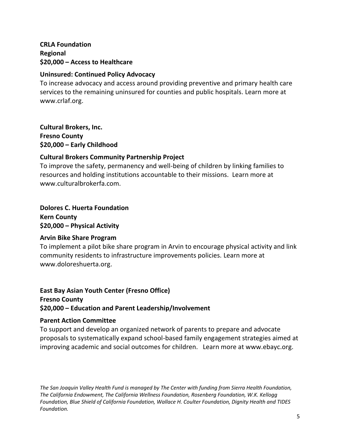**CRLA Foundation Regional \$20,000 – Access to Healthcare**

#### **Uninsured: Continued Policy Advocacy**

To increase advocacy and access around providing preventive and primary health care services to the remaining uninsured for counties and public hospitals. Learn more at www.crlaf.org.

**Cultural Brokers, Inc. Fresno County \$20,000 – Early Childhood**

### **Cultural Brokers Community Partnership Project**

To improve the safety, permanency and well-being of children by linking families to resources and holding institutions accountable to their missions. Learn more at www.culturalbrokerfa.com.

**Dolores C. Huerta Foundation Kern County \$20,000 – Physical Activity**

### **Arvin Bike Share Program**

To implement a pilot bike share program in Arvin to encourage physical activity and link community residents to infrastructure improvements policies. Learn more at www.doloreshuerta.org.

## **East Bay Asian Youth Center (Fresno Office) Fresno County \$20,000 – Education and Parent Leadership/Involvement**

#### **Parent Action Committee**

To support and develop an organized network of parents to prepare and advocate proposals to systematically expand school-based family engagement strategies aimed at improving academic and social outcomes for children. Learn more at www.ebayc.org.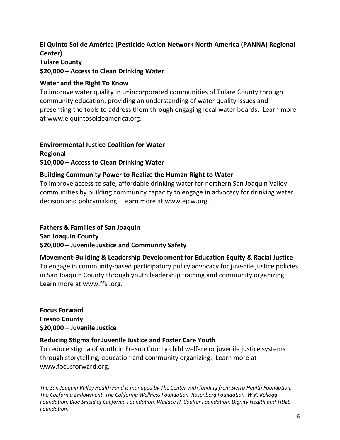## **El Quinto Sol de América (Pesticide Action Network North America (PANNA) Regional Center) Tulare County \$20,000 – Access to Clean Drinking Water**

#### **Water and the Right To Know**

To improve water quality in unincorporated communities of Tulare County through community education, providing an understanding of water quality issues and presenting the tools to address them through engaging local water boards. Learn more at www.elquintosoldeamerica.org.

#### **Environmental Justice Coalition for Water Regional \$10,000 – Access to Clean Drinking Water**

# **Building Community Power to Realize the Human Right to Water**

To improve access to safe, affordable drinking water for northern San Joaquin Valley communities by building community capacity to engage in advocacy for drinking water decision and policymaking. Learn more at www.ejcw.org.

#### **Fathers & Families of San Joaquin**

**San Joaquin County \$20,000 – Juvenile Justice and Community Safety**

#### **Movement-Building & Leadership Development for Education Equity & Racial Justice**

To engage in community-based participatory policy advocacy for juvenile justice policies in San Joaquin County through youth leadership training and community organizing. Learn more at www.ffsj.org.

**Focus Forward Fresno County \$20,000 – Juvenile Justice**

### **Reducing Stigma for Juvenile Justice and Foster Care Youth**

To reduce stigma of youth in Fresno County child welfare or juvenile justice systems through storytelling, education and community organizing. Learn more at www.focusforward.org.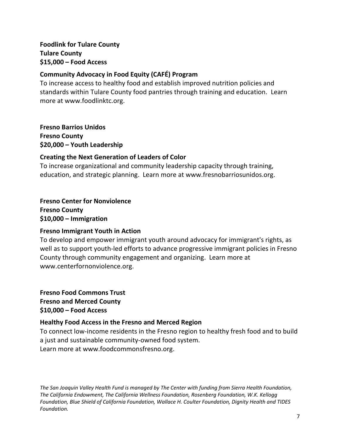# **Foodlink for Tulare County Tulare County \$15,000 – Food Access**

## **Community Advocacy in Food Equity (CAFÉ) Program**

To increase access to healthy food and establish improved nutrition policies and standards within Tulare County food pantries through training and education. Learn more at www.foodlinktc.org.

**Fresno Barrios Unidos Fresno County \$20,000 – Youth Leadership**

## **Creating the Next Generation of Leaders of Color**

To increase organizational and community leadership capacity through training, education, and strategic planning. Learn more at www.fresnobarriosunidos.org.

**Fresno Center for Nonviolence Fresno County \$10,000 – Immigration**

# **Fresno Immigrant Youth in Action**

To develop and empower immigrant youth around advocacy for immigrant's rights, as well as to support youth-led efforts to advance progressive immigrant policies in Fresno County through community engagement and organizing. Learn more at www.centerfornonviolence.org.

**Fresno Food Commons Trust Fresno and Merced County \$10,000 – Food Access**

# **Healthy Food Access in the Fresno and Merced Region**

To connect low-income residents in the Fresno region to healthy fresh food and to build a just and sustainable community-owned food system. Learn more at www.foodcommonsfresno.org.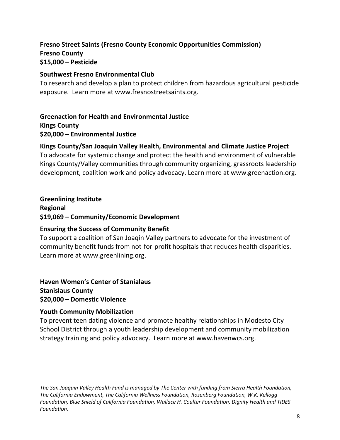# **Fresno Street Saints (Fresno County Economic Opportunities Commission) Fresno County \$15,000 – Pesticide**

#### **Southwest Fresno Environmental Club**

To research and develop a plan to protect children from hazardous agricultural pesticide exposure. Learn more at www.fresnostreetsaints.org.

#### **Greenaction for Health and Environmental Justice Kings County**

## **\$20,000 – Environmental Justice**

## **Kings County/San Joaquin Valley Health, Environmental and Climate Justice Project**

To advocate for systemic change and protect the health and environment of vulnerable Kings County/Valley communities through community organizing, grassroots leadership development, coalition work and policy advocacy. Learn more at www.greenaction.org.

### **Greenlining Institute**

**Regional \$19,069 – Community/Economic Development**

### **Ensuring the Success of Community Benefit**

To support a coalition of San Joaqin Valley partners to advocate for the investment of community benefit funds from not-for-profit hospitals that reduces health disparities. Learn more at www.greenlining.org.

**Haven Women's Center of Stanialaus Stanislaus County \$20,000 – Domestic Violence**

### **Youth Community Mobilization**

To prevent teen dating violence and promote healthy relationships in Modesto City School District through a youth leadership development and community mobilization strategy training and policy advocacy. Learn more at www.havenwcs.org.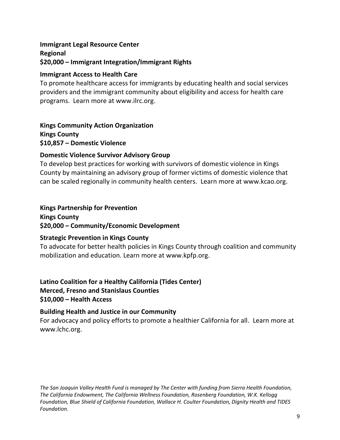# **Immigrant Legal Resource Center Regional \$20,000 – Immigrant Integration/Immigrant Rights**

## **Immigrant Access to Health Care**

To promote healthcare access for immigrants by educating health and social services providers and the immigrant community about eligibility and access for health care programs. Learn more at www.ilrc.org.

**Kings Community Action Organization Kings County \$10,857 – Domestic Violence** 

## **Domestic Violence Survivor Advisory Group**

To develop best practices for working with survivors of domestic violence in Kings County by maintaining an advisory group of former victims of domestic violence that can be scaled regionally in community health centers. Learn more at www.kcao.org.

# **Kings Partnership for Prevention**

**Kings County \$20,000 – Community/Economic Development**

### **Strategic Prevention in Kings County**

To advocate for better health policies in Kings County through coalition and community mobilization and education. Learn more at www.kpfp.org.

**Latino Coalition for a Healthy California (Tides Center) Merced, Fresno and Stanislaus Counties \$10,000 – Health Access** 

### **Building Health and Justice in our Community**

For advocacy and policy efforts to promote a healthier California for all. Learn more at www.lchc.org.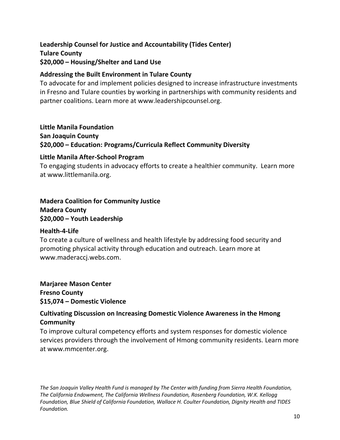# **Leadership Counsel for Justice and Accountability (Tides Center) Tulare County \$20,000 – Housing/Shelter and Land Use**

### **Addressing the Built Environment in Tulare County**

To advocate for and implement policies designed to increase infrastructure investments in Fresno and Tulare counties by working in partnerships with community residents and partner coalitions. Learn more at www.leadershipcounsel.org.

### **Little Manila Foundation**

**San Joaquin County \$20,000 – Education: Programs/Curricula Reflect Community Diversity**

### **Little Manila After-School Program**

To engaging students in advocacy efforts to create a healthier community. Learn more at www.littlemanila.org.

# **Madera Coalition for Community Justice Madera County \$20,000 – Youth Leadership**

### **Health-4-Life**

To create a culture of wellness and health lifestyle by addressing food security and promoting physical activity through education and outreach. Learn more at www.maderaccj.webs.com.

**Marjaree Mason Center Fresno County \$15,074 – Domestic Violence**

# **Cultivating Discussion on Increasing Domestic Violence Awareness in the Hmong Community**

To improve cultural competency efforts and system responses for domestic violence services providers through the involvement of Hmong community residents. Learn more at www.mmcenter.org.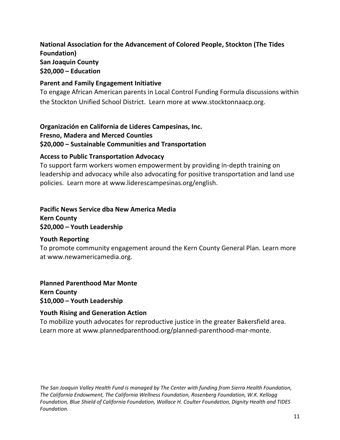# **National Association for the Advancement of Colored People, Stockton (The Tides Foundation) San Joaquin County \$20,000 – Education**

#### **Parent and Family Engagement Initiative**

To engage African American parents in Local Control Funding Formula discussions within the Stockton Unified School District. Learn more at www.stocktonnaacp.org.

### **Organización en California de Lideres Campesinas, Inc. Fresno, Madera and Merced Counties \$20,000 – Sustainable Communities and Transportation**

#### **Access to Public Transportation Advocacy**

To support farm workers women empowerment by providing in-depth training on leadership and advocacy while also advocating for positive transportation and land use policies. Learn more at www.liderescampesinas.org/english.

# **Pacific News Service dba New America Media Kern County \$20,000 – Youth Leadership**

### **Youth Reporting**

To promote community engagement around the Kern County General Plan. Learn more at www.newamericamedia.org.

**Planned Parenthood Mar Monte Kern County \$10,000 – Youth Leadership**

### **Youth Rising and Generation Action**

To mobilize youth advocates for reproductive justice in the greater Bakersfield area. Learn more at www.plannedparenthood.org/planned-parenthood-mar-monte.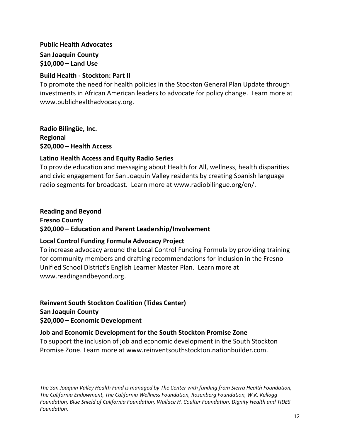# **Public Health Advocates San Joaquin County \$10,000 – Land Use**

### **Build Health - Stockton: Part II**

To promote the need for health policies in the Stockton General Plan Update through investments in African American leaders to advocate for policy change. Learn more at www.publichealthadvocacy.org.

**Radio Bilingüe, Inc. Regional \$20,000 – Health Access** 

### **Latino Health Access and Equity Radio Series**

To provide education and messaging about Health for All, wellness, health disparities and civic engagement for San Joaquin Valley residents by creating Spanish language radio segments for broadcast. Learn more at www.radiobilingue.org/en/.

# **Reading and Beyond Fresno County \$20,000 – Education and Parent Leadership/Involvement**

### **Local Control Funding Formula Advocacy Project**

To increase advocacy around the Local Control Funding Formula by providing training for community members and drafting recommendations for inclusion in the Fresno Unified School District's English Learner Master Plan. Learn more at www.readingandbeyond.org.

**Reinvent South Stockton Coalition (Tides Center) San Joaquin County \$20,000 – Economic Development**

### **Job and Economic Development for the South Stockton Promise Zone**

To support the inclusion of job and economic development in the South Stockton Promise Zone. Learn more at www.reinventsouthstockton.nationbuilder.com.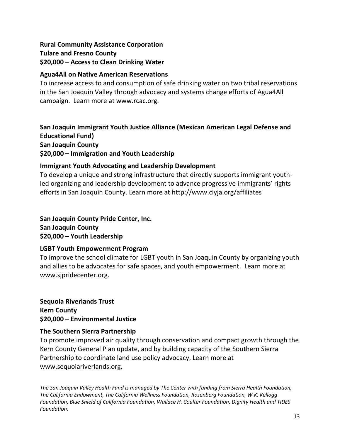# **Rural Community Assistance Corporation Tulare and Fresno County \$20,000 – Access to Clean Drinking Water**

### **Agua4All on Native American Reservations**

To increase access to and consumption of safe drinking water on two tribal reservations in the San Joaquin Valley through advocacy and systems change efforts of Agua4All campaign. Learn more at www.rcac.org.

**San Joaquin Immigrant Youth Justice Alliance (Mexican American Legal Defense and Educational Fund) San Joaquin County \$20,000 – Immigration and Youth Leadership**

#### **Immigrant Youth Advocating and Leadership Development**

To develop a unique and strong infrastructure that directly supports immigrant youthled organizing and leadership development to advance progressive immigrants' rights efforts in San Joaquin County. Learn more at http://www.ciyja.org/affiliates

**San Joaquin County Pride Center, Inc. San Joaquin County \$20,000 – Youth Leadership**

#### **LGBT Youth Empowerment Program**

To improve the school climate for LGBT youth in San Joaquin County by organizing youth and allies to be advocates for safe spaces, and youth empowerment. Learn more at www.sjpridecenter.org.

**Sequoia Riverlands Trust Kern County \$20,000 – Environmental Justice**

### **The Southern Sierra Partnership**

To promote improved air quality through conservation and compact growth through the Kern County General Plan update, and by building capacity of the Southern Sierra Partnership to coordinate land use policy advocacy. Learn more at www.sequoiariverlands.org.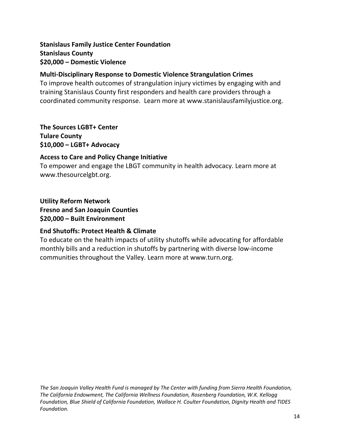# **Stanislaus Family Justice Center Foundation Stanislaus County \$20,000 – Domestic Violence**

## **Multi-Disciplinary Response to Domestic Violence Strangulation Crimes**

To improve health outcomes of strangulation injury victimes by engaging with and training Stanislaus County first responders and health care providers through a coordinated community response. Learn more at www.stanislausfamilyjustice.org.

**The Sources LGBT+ Center Tulare County \$10,000 – LGBT+ Advocacy**

### **Access to Care and Policy Change Initiative**

To empower and engage the LBGT community in health advocacy. Learn more at www.thesourcelgbt.org.

**Utility Reform Network Fresno and San Joaquin Counties \$20,000 – Built Environment** 

# **End Shutoffs: Protect Health & Climate**

To educate on the health impacts of utility shutoffs while advocating for affordable monthly bills and a reduction in shutoffs by partnering with diverse low-income communities throughout the Valley. Learn more at www.turn.org.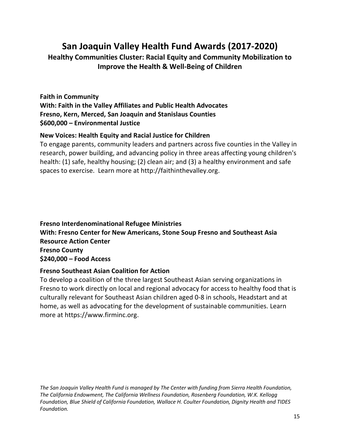# **San Joaquin Valley Health Fund Awards (2017-2020)**

**Healthy Communities Cluster: Racial Equity and Community Mobilization to Improve the Health & Well-Being of Children**

# **Faith in Community With: Faith in the Valley Affiliates and Public Health Advocates Fresno, Kern, Merced, San Joaquin and Stanislaus Counties \$600,000 – Environmental Justice**

### **New Voices: Health Equity and Racial Justice for Children**

To engage parents, community leaders and partners across five counties in the Valley in research, power building, and advancing policy in three areas affecting young children's health: (1) safe, healthy housing; (2) clean air; and (3) a healthy environment and safe spaces to exercise. Learn more at http://faithinthevalley.org.

# **Fresno Interdenominational Refugee Ministries With: Fresno Center for New Americans, Stone Soup Fresno and Southeast Asia Resource Action Center Fresno County \$240,000 – Food Access**

#### **Fresno Southeast Asian Coalition for Action**

To develop a coalition of the three largest Southeast Asian serving organizations in Fresno to work directly on local and regional advocacy for access to healthy food that is culturally relevant for Southeast Asian children aged 0-8 in schools, Headstart and at home, as well as advocating for the development of sustainable communities. Learn more at https://www.firminc.org.